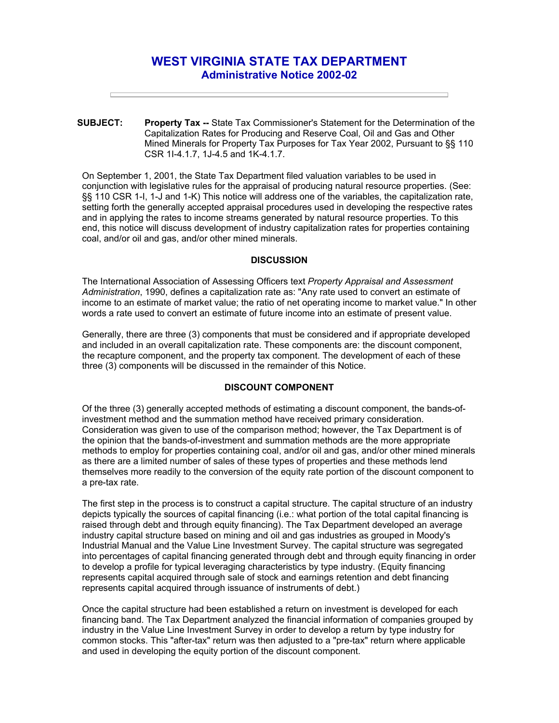# **WEST VIRGINIA STATE TAX DEPARTMENT Administrative Notice 2002-02**

**SUBJECT: Property Tax --** State Tax Commissioner's Statement for the Determination of the Capitalization Rates for Producing and Reserve Coal, Oil and Gas and Other Mined Minerals for Property Tax Purposes for Tax Year 2002, Pursuant to §§ 110 CSR 1I-4.1.7, 1J-4.5 and 1K-4.1.7.

On September 1, 2001, the State Tax Department filed valuation variables to be used in conjunction with legislative rules for the appraisal of producing natural resource properties. (See: §§ 110 CSR 1-I, 1-J and 1-K) This notice will address one of the variables, the capitalization rate, setting forth the generally accepted appraisal procedures used in developing the respective rates and in applying the rates to income streams generated by natural resource properties. To this end, this notice will discuss development of industry capitalization rates for properties containing coal, and/or oil and gas, and/or other mined minerals.

#### **DISCUSSION**

The International Association of Assessing Officers text *Property Appraisal and Assessment Administration*, 1990, defines a capitalization rate as: "Any rate used to convert an estimate of income to an estimate of market value; the ratio of net operating income to market value." In other words a rate used to convert an estimate of future income into an estimate of present value.

Generally, there are three (3) components that must be considered and if appropriate developed and included in an overall capitalization rate. These components are: the discount component, the recapture component, and the property tax component. The development of each of these three (3) components will be discussed in the remainder of this Notice.

## **DISCOUNT COMPONENT**

Of the three (3) generally accepted methods of estimating a discount component, the bands-ofinvestment method and the summation method have received primary consideration. Consideration was given to use of the comparison method; however, the Tax Department is of the opinion that the bands-of-investment and summation methods are the more appropriate methods to employ for properties containing coal, and/or oil and gas, and/or other mined minerals as there are a limited number of sales of these types of properties and these methods lend themselves more readily to the conversion of the equity rate portion of the discount component to a pre-tax rate.

The first step in the process is to construct a capital structure. The capital structure of an industry depicts typically the sources of capital financing (i.e.: what portion of the total capital financing is raised through debt and through equity financing). The Tax Department developed an average industry capital structure based on mining and oil and gas industries as grouped in Moody's Industrial Manual and the Value Line Investment Survey. The capital structure was segregated into percentages of capital financing generated through debt and through equity financing in order to develop a profile for typical leveraging characteristics by type industry. (Equity financing represents capital acquired through sale of stock and earnings retention and debt financing represents capital acquired through issuance of instruments of debt.)

Once the capital structure had been established a return on investment is developed for each financing band. The Tax Department analyzed the financial information of companies grouped by industry in the Value Line Investment Survey in order to develop a return by type industry for common stocks. This "after-tax" return was then adjusted to a "pre-tax" return where applicable and used in developing the equity portion of the discount component.